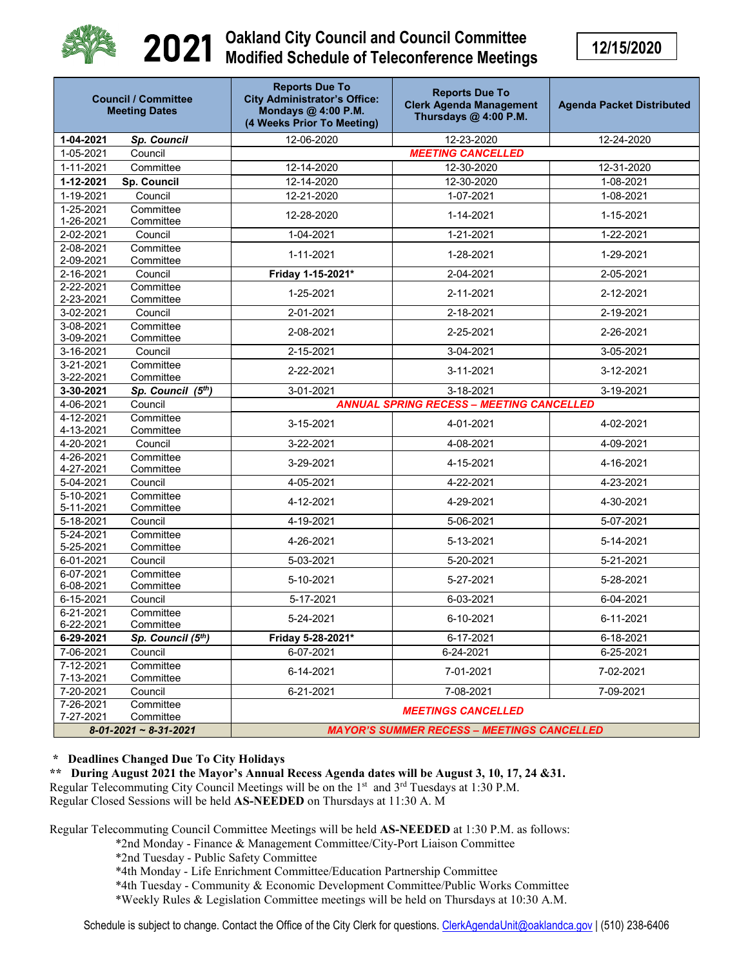

## 2021 **Oakland City Council and Council Committee Modified Schedule of Teleconference Meetings**

**12/15/2020**

| <b>Council / Committee</b><br><b>Meeting Dates</b> |                        | <b>Reports Due To</b><br><b>City Administrator's Office:</b><br>Mondays @ 4:00 P.M.<br>(4 Weeks Prior To Meeting) | <b>Reports Due To</b><br><b>Clerk Agenda Management</b><br>Thursdays @ 4:00 P.M. | <b>Agenda Packet Distributed</b> |  |  |
|----------------------------------------------------|------------------------|-------------------------------------------------------------------------------------------------------------------|----------------------------------------------------------------------------------|----------------------------------|--|--|
| 1-04-2021                                          | Sp. Council            | 12-06-2020                                                                                                        | 12-23-2020                                                                       | 12-24-2020                       |  |  |
| 1-05-2021                                          | Council                | <b>MEETING CANCELLED</b>                                                                                          |                                                                                  |                                  |  |  |
| 1-11-2021                                          | Committee              | 12-14-2020                                                                                                        | 12-30-2020                                                                       | 12-31-2020                       |  |  |
| 1-12-2021                                          | Sp. Council            | 12-14-2020                                                                                                        | 12-30-2020                                                                       | 1-08-2021                        |  |  |
| 1-19-2021                                          | Council                | 12-21-2020                                                                                                        | 1-07-2021                                                                        | 1-08-2021                        |  |  |
| 1-25-2021<br>1-26-2021                             | Committee<br>Committee | 12-28-2020                                                                                                        | 1-14-2021                                                                        | 1-15-2021                        |  |  |
| 2-02-2021                                          | Council                | 1-04-2021                                                                                                         | $\overline{1}$ -21-2021                                                          | 1-22-2021                        |  |  |
| 2-08-2021<br>2-09-2021                             | Committee<br>Committee | 1-11-2021                                                                                                         | 1-28-2021                                                                        | 1-29-2021                        |  |  |
| 2-16-2021                                          | Council                | Friday 1-15-2021*                                                                                                 | 2-04-2021                                                                        | 2-05-2021                        |  |  |
| 2-22-2021<br>2-23-2021                             | Committee<br>Committee | 1-25-2021                                                                                                         | 2-11-2021                                                                        | 2-12-2021                        |  |  |
| 3-02-2021                                          | Council                | 2-01-2021                                                                                                         | 2-18-2021                                                                        | 2-19-2021                        |  |  |
| 3-08-2021<br>3-09-2021                             | Committee<br>Committee | 2-08-2021                                                                                                         | 2-25-2021                                                                        | 2-26-2021                        |  |  |
| 3-16-2021                                          | Council                | 2-15-2021                                                                                                         | 3-04-2021                                                                        | 3-05-2021                        |  |  |
| 3-21-2021<br>3-22-2021                             | Committee<br>Committee | 2-22-2021                                                                                                         | 3-11-2021                                                                        | 3-12-2021                        |  |  |
| 3-30-2021                                          | Sp. Council (5th)      | 3-01-2021                                                                                                         | 3-18-2021                                                                        | 3-19-2021                        |  |  |
| 4-06-2021                                          | Council                | <b>ANNUAL SPRING RECESS - MEETING CANCELLED</b>                                                                   |                                                                                  |                                  |  |  |
| 4-12-2021<br>4-13-2021                             | Committee<br>Committee | 3-15-2021                                                                                                         | 4-01-2021                                                                        | 4-02-2021                        |  |  |
| 4-20-2021                                          | Council                | 3-22-2021                                                                                                         | 4-08-2021                                                                        | 4-09-2021                        |  |  |
| 4-26-2021<br>4-27-2021                             | Committee<br>Committee | 3-29-2021                                                                                                         | 4-15-2021                                                                        | 4-16-2021                        |  |  |
| 5-04-2021                                          | Council                | 4-05-2021                                                                                                         | 4-22-2021                                                                        | 4-23-2021                        |  |  |
| 5-10-2021<br>5-11-2021                             | Committee<br>Committee | 4-12-2021                                                                                                         | 4-29-2021                                                                        | 4-30-2021                        |  |  |
| 5-18-2021                                          | Council                | 4-19-2021                                                                                                         | 5-06-2021                                                                        | 5-07-2021                        |  |  |
| 5-24-2021<br>5-25-2021                             | Committee<br>Committee | 4-26-2021                                                                                                         | 5-13-2021                                                                        | 5-14-2021                        |  |  |
| 6-01-2021                                          | Council                | 5-03-2021                                                                                                         | 5-20-2021                                                                        | 5-21-2021                        |  |  |
| 6-07-2021<br>6-08-2021                             | Committee<br>Committee | 5-10-2021                                                                                                         | 5-27-2021                                                                        | 5-28-2021                        |  |  |
| 6-15-2021                                          | Council                | 5-17-2021                                                                                                         | 6-03-2021                                                                        | 6-04-2021                        |  |  |
| 6-21-2021<br>6-22-2021                             | Committee<br>Committee | 5-24-2021                                                                                                         | 6-10-2021                                                                        | 6-11-2021                        |  |  |
| 6-29-2021                                          | Sp. Council (5th)      | Friday 5-28-2021*                                                                                                 | 6-17-2021                                                                        | 6-18-2021                        |  |  |
| 7-06-2021                                          | Council                | 6-07-2021                                                                                                         | 6-24-2021                                                                        | 6-25-2021                        |  |  |
| 7-12-2021<br>7-13-2021                             | Committee<br>Committee | 6-14-2021                                                                                                         | 7-01-2021                                                                        | 7-02-2021                        |  |  |
| 7-20-2021                                          | Council                | 6-21-2021                                                                                                         | 7-08-2021                                                                        | 7-09-2021                        |  |  |
| 7-26-2021                                          | Committee              |                                                                                                                   | <b>MEETINGS CANCELLED</b>                                                        |                                  |  |  |
| 7-27-2021                                          | Committee              |                                                                                                                   |                                                                                  |                                  |  |  |
| $8-01-2021 \sim 8-31-2021$                         |                        | <b>MAYOR'S SUMMER RECESS - MEETINGS CANCELLED</b>                                                                 |                                                                                  |                                  |  |  |

## **\* Deadlines Changed Due To City Holidays**

**\*\* During August 2021 the Mayor's Annual Recess Agenda dates will be August 3, 10, 17, 24 &31.** Regular Telecommuting City Council Meetings will be on the  $1<sup>st</sup>$  and  $3<sup>rd</sup>$  Tuesdays at 1:30 P.M. Regular Closed Sessions will be held **AS-NEEDED** on Thursdays at 11:30 A. M

Regular Telecommuting Council Committee Meetings will be held **AS-NEEDED** at 1:30 P.M. as follows:

\*2nd Monday - Finance & Management Committee/City-Port Liaison Committee

\*2nd Tuesday - Public Safety Committee

\*4th Monday - Life Enrichment Committee/Education Partnership Committee

\*4th Tuesday - Community & Economic Development Committee/Public Works Committee

\*Weekly Rules & Legislation Committee meetings will be held on Thursdays at 10:30 A.M.